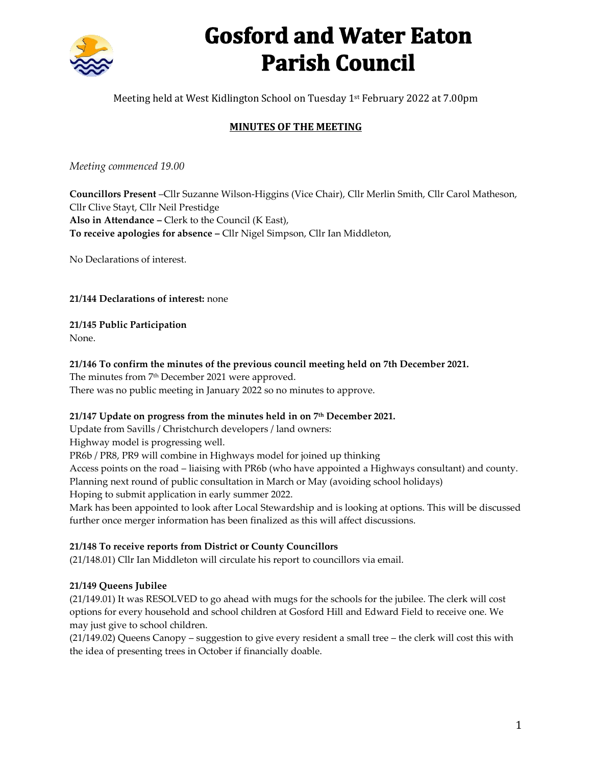

# **Gosford and Water Eaton Parish Council**

Meeting held at West Kidlington School on Tuesday 1st February 2022 at 7.00pm

## **MINUTES OF THE MEETING**

*Meeting commenced 19.00*

**Councillors Present** –Cllr Suzanne Wilson-Higgins (Vice Chair), Cllr Merlin Smith, Cllr Carol Matheson, Cllr Clive Stayt, Cllr Neil Prestidge **Also in Attendance –** Clerk to the Council (K East), **To receive apologies for absence –** Cllr Nigel Simpson, Cllr Ian Middleton,

No Declarations of interest.

**21/144 Declarations of interest:** none

**21/145 Public Participation** 

None.

## **21/146 To confirm the minutes of the previous council meeting held on 7th December 2021.**

The minutes from 7<sup>th</sup> December 2021 were approved. There was no public meeting in January 2022 so no minutes to approve.

## **21/147 Update on progress from the minutes held in on 7th December 2021.**

Update from Savills / Christchurch developers / land owners:

Highway model is progressing well.

PR6b / PR8, PR9 will combine in Highways model for joined up thinking

Access points on the road – liaising with PR6b (who have appointed a Highways consultant) and county. Planning next round of public consultation in March or May (avoiding school holidays)

Hoping to submit application in early summer 2022.

Mark has been appointed to look after Local Stewardship and is looking at options. This will be discussed further once merger information has been finalized as this will affect discussions.

## **21/148 To receive reports from District or County Councillors**

(21/148.01) Cllr Ian Middleton will circulate his report to councillors via email.

## **21/149 Queens Jubilee**

(21/149.01) It was RESOLVED to go ahead with mugs for the schools for the jubilee. The clerk will cost options for every household and school children at Gosford Hill and Edward Field to receive one. We may just give to school children.

(21/149.02) Queens Canopy – suggestion to give every resident a small tree – the clerk will cost this with the idea of presenting trees in October if financially doable.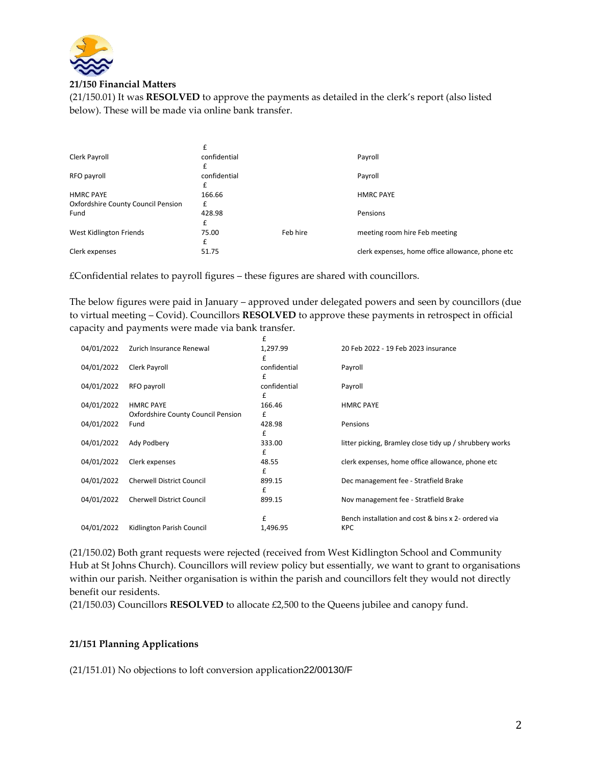

#### **21/150 Financial Matters**

(21/150.01) It was **RESOLVED** to approve the payments as detailed in the clerk's report (also listed below). These will be made via online bank transfer.

| Clerk Payroll                      | confidential |          | Payroll                                          |
|------------------------------------|--------------|----------|--------------------------------------------------|
|                                    | £            |          |                                                  |
| RFO payroll                        | confidential |          | Payroll                                          |
|                                    |              |          |                                                  |
| <b>HMRC PAYE</b>                   | 166.66       |          | <b>HMRC PAYE</b>                                 |
| Oxfordshire County Council Pension | £            |          |                                                  |
| Fund                               | 428.98       |          | Pensions                                         |
|                                    | £            |          |                                                  |
| West Kidlington Friends            | 75.00        | Feb hire | meeting room hire Feb meeting                    |
|                                    | £            |          |                                                  |
| Clerk expenses                     | 51.75        |          | clerk expenses, home office allowance, phone etc |

£Confidential relates to payroll figures – these figures are shared with councillors.

The below figures were paid in January – approved under delegated powers and seen by councillors (due to virtual meeting – Covid). Councillors **RESOLVED** to approve these payments in retrospect in official capacity and payments were made via bank transfer.

|            |                                    | £            |                                                         |
|------------|------------------------------------|--------------|---------------------------------------------------------|
| 04/01/2022 | Zurich Insurance Renewal           | 1,297.99     | 20 Feb 2022 - 19 Feb 2023 insurance                     |
|            |                                    | £            |                                                         |
| 04/01/2022 | Clerk Payroll                      | confidential | Payroll                                                 |
|            |                                    | £            |                                                         |
| 04/01/2022 | RFO payroll                        | confidential | Payroll                                                 |
|            |                                    | £            |                                                         |
| 04/01/2022 | <b>HMRC PAYE</b>                   | 166.46       | <b>HMRC PAYE</b>                                        |
|            | Oxfordshire County Council Pension | £            |                                                         |
| 04/01/2022 | Fund                               | 428.98       | Pensions                                                |
|            |                                    | £            |                                                         |
| 04/01/2022 | Ady Podbery                        | 333.00       | litter picking, Bramley close tidy up / shrubbery works |
|            |                                    | £            |                                                         |
| 04/01/2022 | Clerk expenses                     | 48.55        | clerk expenses, home office allowance, phone etc        |
|            |                                    | £            |                                                         |
| 04/01/2022 | <b>Cherwell District Council</b>   | 899.15       | Dec management fee - Stratfield Brake                   |
|            |                                    | £            |                                                         |
| 04/01/2022 | <b>Cherwell District Council</b>   | 899.15       | Nov management fee - Stratfield Brake                   |
|            |                                    |              |                                                         |
|            |                                    | £            | Bench installation and cost & bins x 2- ordered via     |
| 04/01/2022 | Kidlington Parish Council          |              | <b>KPC</b>                                              |
|            |                                    | 1,496.95     |                                                         |

(21/150.02) Both grant requests were rejected (received from West Kidlington School and Community Hub at St Johns Church). Councillors will review policy but essentially, we want to grant to organisations within our parish. Neither organisation is within the parish and councillors felt they would not directly benefit our residents.

(21/150.03) Councillors **RESOLVED** to allocate £2,500 to the Queens jubilee and canopy fund.

## **21/151 Planning Applications**

(21/151.01) No objections to loft conversion application22/00130/F